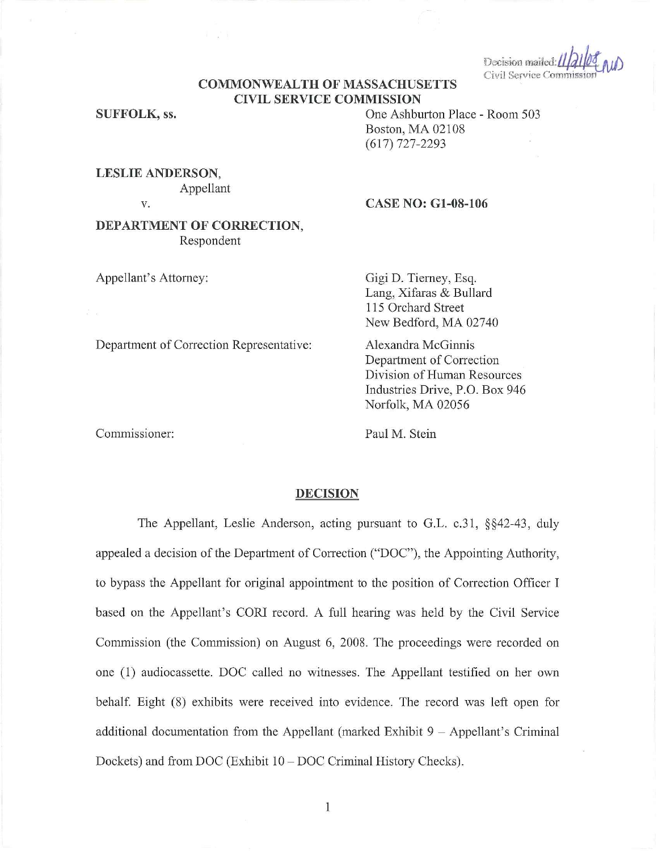Decision mailed: $||d||$ Civil Service Commissio

# **COMMONWEAL TH OF MASSACHUSETTS CIVIL SERVICE COMMISSION**

**SUFFOLK,** ss.

One Ashburton Place - Room 503 Boston, MA 02108 (617) 727-2293

**LESLIE ANDERSON,**  Appellant

V.

## **CASE NO: Gl-08-106**

## **DEPARTMENT OF CORRECTION,**  Respondent

 $\mathcal{A}=\mathcal{A}^{\mathcal{A}}$  .

Department of Correction Representative:

Appellant's Attorney:

Gigi D. Tierney, Esq. Lang, Xifaras & Bullard 115 Orchard Street New Bedford, MA 02740

Alexandra McGinnis Department of Correction Division of Human Resources Industries Drive, P.O. Box 946 Norfolk, MA 02056

Commissioner:

Paul M. Stein

#### **DECISION**

The Appellant, Leslie Anderson, acting pursuant to G.L. c.31, §§42-43, duly appealed a decision of the Department of Correction ("DOC"), the Appointing Authority, to bypass the Appellant for original appointment to the position of Correction Officer I based on the Appellant's CORI record. A full hearing was held by the Civil Service Commission (the Commission) on August 6, 2008. The proceedings were recorded on one (1) audiocassette. DOC called no witnesses. The Appellant testified on her own behalf. Eight (8) exhibits were received into evidence. The record was left open for additional documentation from the Appellant (marked Exhibit  $9 -$  Appellant's Criminal Dockets) and from DOC (Exhibit 10 - DOC Criminal History Checks).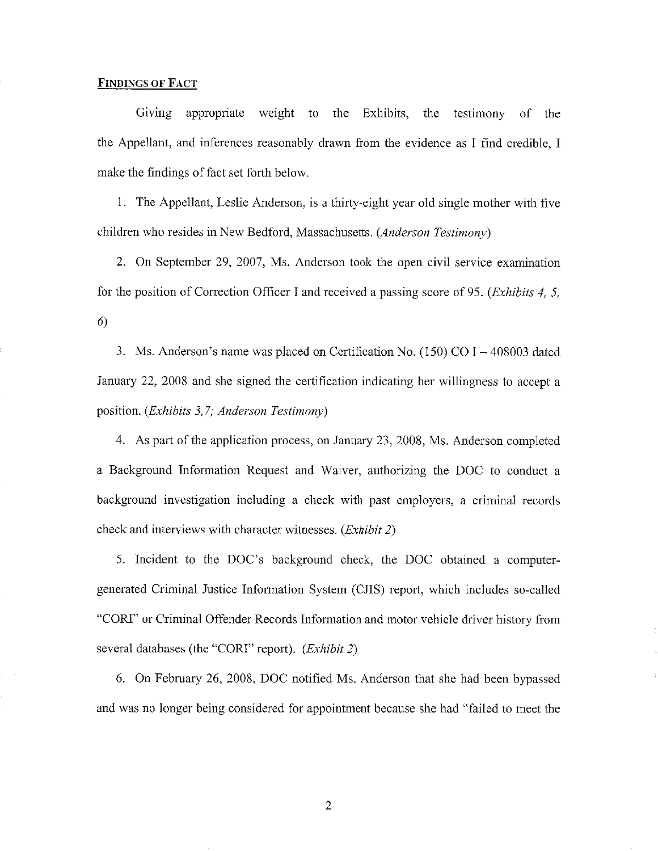## **FINDINGS OF FACT**

Giving appropriate weight to the Exhibits, the testimony of the the Appellant, and inferences reasonably drawn from the evidence as I find credible, I make the findings of fact set forth below.

1. The Appellant, Leslie Anderson, is a thirty-eight year old single mother with five children who resides in New Bedford, Massachusetts. *(Anderson Testimony)* 

2. On September 29, 2007, Ms. Anderson took the open civil service examination for the position of Correction Officer I and received a passing score of 95. *(Exhibits 4, 5,*  6)

3. Ms. Anderson's name was placed on Certification No. (150) CO I - 408003 dated January 22, 2008 and she signed the certification indicating her willingness to accept a position. *(Exhibits 3,7; Anderson Testimony)* 

4. As part of the application process, on January 23, 2008, Ms. Anderson completed a Background Information Request and Waiver, authorizing the DOC to conduct a background investigation including a check with past employers, a criminal records check and interviews with character witnesses. *(Exhibit 2)* 

5. Incident to the DOC's background check, the DOC obtained a computergenerated Criminal Justice Information System (CJIS) report, which includes so-called "CORI" or Criminal Offender Records Information and motor vehicle driver history from several databases (the "CORI" report). *(Exhibit 2)* 

6. On February 26, 2008, DOC notified Ms. Anderson that she had been bypassed and was no longer being considered for appointment because she had "failed to meet the

2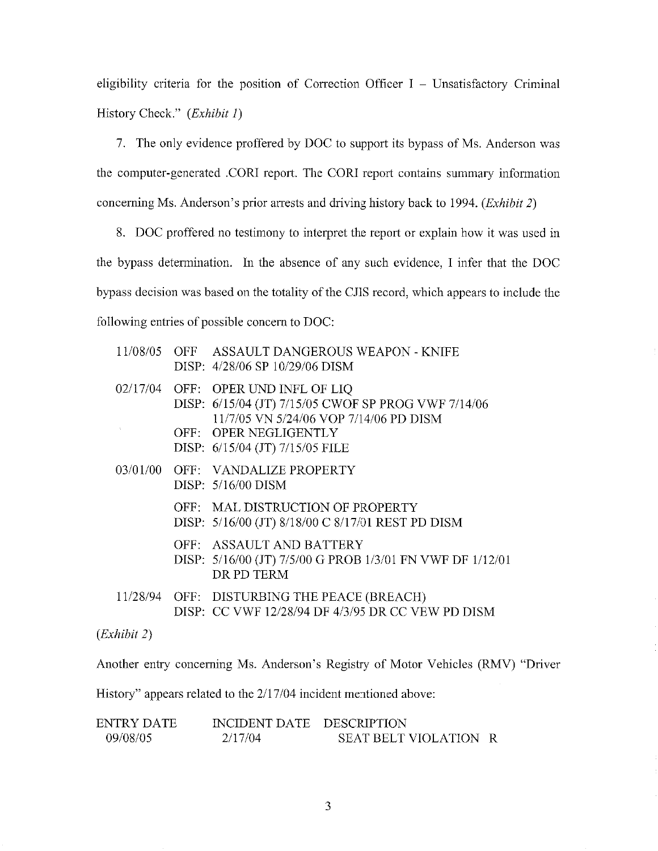eligibility criteria for the position of Correction Officer  $I -$  Unsatisfactory Criminal History Check." *(Exhibit 1)* 

7. The only evidence proffered by DOC to support its bypass of Ms. Anderson was the computer-generated .CORI report. The CORI report contains summary information concerning Ms. Anderson's prior arrests and driving history back to 1994. *(Exhibit 2)* 

8. DOC proffered no testimony to interpret the report or explain how it was used in the bypass determination. In the absence of any such evidence, I infer that the DOC bypass decision was based on the totality of the CJIS record, which appears to include the following entries of possible concern to DOC:

|  | 11/08/05 OFF ASSAULT DANGEROUS WEAPON - KNIFE<br>DISP: 4/28/06 SP 10/29/06 DISM                                                                                                                 |
|--|-------------------------------------------------------------------------------------------------------------------------------------------------------------------------------------------------|
|  | 02/17/04 OFF: OPER UND INFL OF LIQ<br>DISP: 6/15/04 (JT) 7/15/05 CWOF SP PROG VWF 7/14/06<br>11/7/05 VN 5/24/06 VOP 7/14/06 PD DISM<br>OFF: OPER NEGLIGENTLY<br>DISP: 6/15/04 (JT) 7/15/05 FILE |
|  | 03/01/00 OFF: VANDALIZE PROPERTY<br>DISP: $5/16/00$ DISM                                                                                                                                        |
|  | OFF: MAL DISTRUCTION OF PROPERTY<br>DISP: 5/16/00 (JT) 8/18/00 C 8/17/01 REST PD DISM                                                                                                           |
|  | OFF: ASSAULT AND BATTERY<br>DISP: 5/16/00 (JT) 7/5/00 G PROB 1/3/01 FN VWF DF 1/12/01<br>DR PD TERM                                                                                             |
|  | 11/28/94 OFF: DISTURBING THE PEACE (BREACH)<br>DISP: CC VWF 12/28/94 DF 4/3/95 DR CC VEW PD DISM                                                                                                |

*(Exhibit 2)* 

Another entry concerning Ms. Anderson's Registry of Motor Vehicles (RMV) "Driver

History" appears related to the  $2/17/04$  incident mentioned above:

| ENTRY DATE | INCIDENT DATE DESCRIPTION |                       |  |
|------------|---------------------------|-----------------------|--|
| 09/08/05   | 2/17/04                   | SEAT BELT VIOLATION R |  |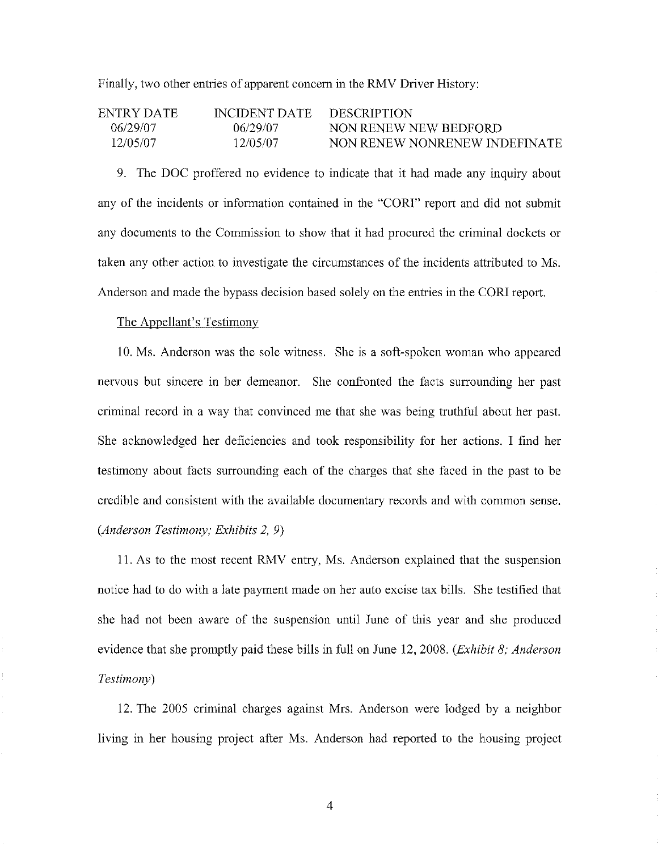Finally, two other entries of apparent concern in the RMV Driver History:

| ENTRY DATE | INCIDENT DATE | <b>DESCRIPTION</b>            |
|------------|---------------|-------------------------------|
| 06/29/07   | 06/29/07      | NON RENEW NEW BEDFORD         |
| 12/05/07   | 12/05/07      | NON RENEW NONRENEW INDEFINATE |

9. The DOC proffered no evidence to indicate that it had made any inquiry about any of the incidents or information contained in the "CORI" report and did not submit any documents to the Commission to show that it had procured the criminal dockets or taken any other action to investigate the circumstances of the incidents attributed to Ms. Anderson and made the bypass decision based solely on the entries in the CORJ report.

## The Appellant's Testimony

10. Ms. Anderson was the sole witness. She is a soft-spoken woman who appeared nervous but sincere in her demeanor. She confronted the facts surrounding her past criminal record in a way that convinced me that she was being truthful about her past. She acknowledged her deficiencies and took responsibility for her actions. I find her testimony about facts surrounding each of the charges that she faced in the past to be credible and consistent with the available documentary records and with common sense. *(Anderson Testimony; Exhibits 2,* 9)

11. As to the most recent RMV entry, Ms. Anderson explained that the suspension notice had to do with a late payment made on her auto excise tax bills. She testified that she had not been aware of the suspension until June of this year and she produced evidence that she promptly paid these bills in full on June 12, 2008. *(Exhibit 8; Anderson Testimony)* 

12. The 2005 criminal charges against Mrs. Anderson were lodged by a neighbor living in her housing project after Ms. Anderson had reported to the housing project

4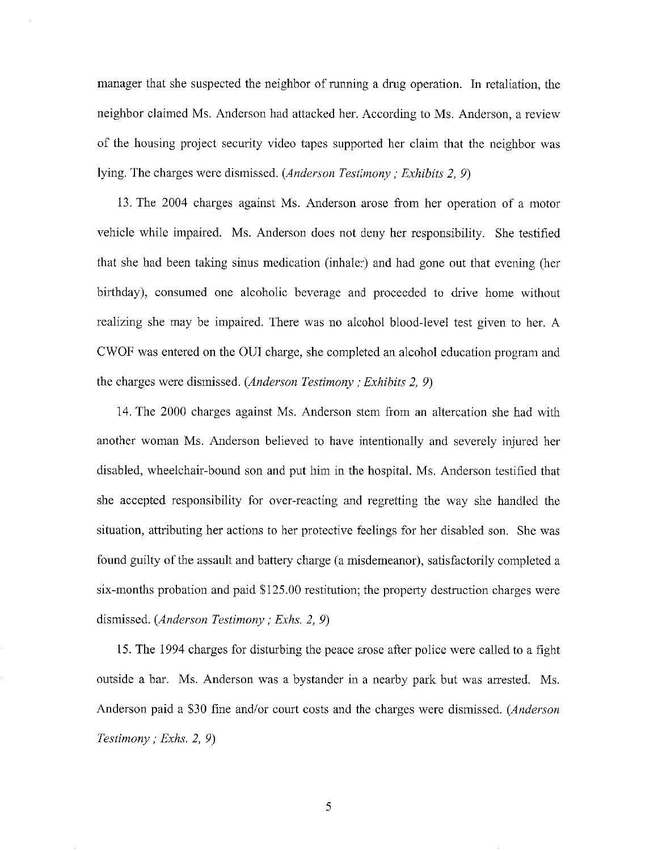manager that she suspected the neighbor of running a drug operation. In retaliation, the neighbor claimed Ms. Anderson had attacked her. According to Ms. Anderson, a review of the housing project security video tapes supported her claim that the neighbor was lying. The charges were dismissed. *(Anderson Testimony; Exhibits 2, 9)* 

13. The 2004 charges against Ms. Anderson arose from her operation of a motor vehicle while impaired. Ms. Anderson does not deny her responsibility. She testified that she had been taking sinus medication (inhaler) and had gone out that evening (her birthday), consumed one alcoholic beverage and proceeded to drive home without realizing she may be impaired. There was no alcohol blood-level test given to her. A CWOF was entered on the OUI charge, she completed an alcohol education program and the charges were dismissed. *(Anderson Testimony; Exhibits 2, 9)* 

14. The 2000 charges against Ms. Anderson stem from an altercation she had with another woman Ms. Anderson believed to have intentionally and severely injured her disabled, wheelchair-bound son and put him in the hospital. Ms. Anderson testified that she accepted responsibility for over-reacting and regretting the way she handled the situation, attributing her actions to her protective feelings for her disabled son. She was found guilty of the assault and battery charge (a misdemeanor), satisfactorily completed a six-months probation and paid \$125.00 restitution; the property destruction charges were dismissed. *(Anderson Testimony; Exhs. 2, 9)* 

15. The 1994 charges for disturbing the peace arose after police were called to a fight outside a bar. Ms. Anderson was a bystander in a nearby park but was arrested. Ms. Anderson paid a \$30 fine and/or court costs and the charges were dismissed. *(Anderson Testimony; Exhs. 2, 9)* 

5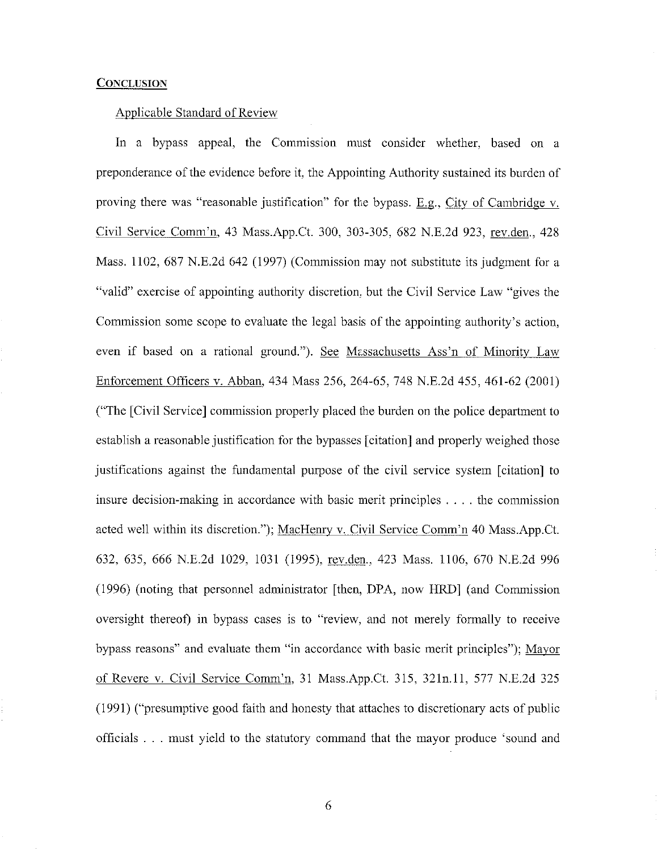#### **CONCLUSION**

#### Applicable Standard of Review

In a bypass appeal, the Commission must consider whether, based on a preponderance of the evidence before it, the Appointing Authority sustained its burden of proving there was "reasonable justification" for the bypass.  $E.g.,$  City of Cambridge v. Civil Service Comm'n, 43 Mass.App.Ct. 300, 303-305, 682 N.E.2d 923, rev.den., 428 Mass. 1102, 687 N.E.2d 642 (1997) (Commission may not substitute its judgment for a "valid" exercise of appointing authority discretion, but the Civil Service Law "gives the Commission some scope to evaluate the legal basis of the appointing authority's action, even if based on a rational ground."). See Massachusetts Ass'n of Minority Law Enforcement Officers v. Abban, 434 Mass 256, 264-65, 748 N.E.2d 455, 461-62 (2001) ("The [Civil Service] commission properly placed the burden on the police department to establish a reasonable justification for the bypasses [citation] and properly weighed those justifications against the fundamental purpose of the civil service system [citation] to insure decision-making in accordance with basic merit principles .... the commission acted well within its discretion."); MacHenry v. Civil Service Comm'n 40 Mass.App.Ct. 632, 635, 666 N.E.2d 1029, 1031 (1995), rev.den., 423 Mass. 1106, 670 N.E.2d 996 (1996) (noting that personnel administrator [then, DPA, now HRD] (and Commission oversight thereof) in bypass cases is to "review, and not merely formally to receive bypass reasons" and evaluate them "in accordance with basic merit principles"); Mayor of Revere v. Civil Service Comm'n 31 Mass.App.Ct. 315, 32111.ll, 577 N.E.2d 325 (I 991) ("presumptive good faith and honesty that attaches to discretionary acts of public officials . . . must yield to the statutory command that the mayor produce 'sound and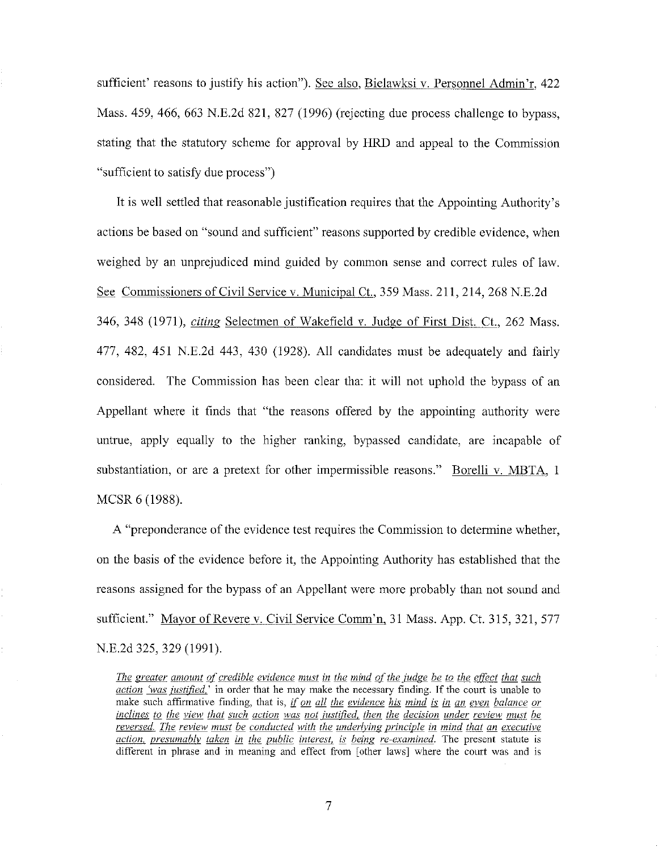sufficient' reasons to justify his action"). See also, Bielawksi v. Personnel Admin'r, 422 Mass. 459, 466, 663 N.E.2d 821, 827 (1996) (rejecting due process challenge to bypass, stating that the statutory scheme for approval by **HRD** and appeal to the Commission "sufficient to satisfy due process")

It is well settled that reasonable justification requires that the Appointing Authority's actions be based on "sound and sufficient" reasons supported by credible evidence, when weighed by an unprejudiced mind guided by common sense and correct rules of law. See Commissioners of Civil Service v. Municipal Ct., 359 Mass. 211,214,268 N.E.2d 346, 348 (1971), *citing* Selectmen of Wakefield v. Judge of First Dist. Ct., 262 Mass. 477, 482, 451 N.E.2d 443, 430 (1928). All candidates must be adequately and fairly considered. The Commission has been clear that it will not uphold the bypass of an Appellant where it finds that "the reasons offered by the appointing authority were untrue, apply equally to the higher ranking, bypassed candidate, are incapable of substantiation, or are a pretext for other impermissible reasons." Borelli v. MBTA, 1 MCSR 6 (1988).

A "preponderance of the evidence test requires the Commission to determine whether, on the basis of the evidence before it, the Appointing Authority has established that the reasons assigned for the bypass of an Appellant were more probably than not sound and sufficient." Mayor of Revere v. Civil Service Comm'n, 31 Mass. App. Ct. 315, 321, 577 N.E.2d 325, 329 (1991).

*The greater amount of credible evidence must in the mind of the judge be to the effect that such action 'was justified* **' in order that he may make the necessary finding. If the court is unable to make such affirmative finding, that is,** *if on all the evidence his mind is in an even balance or inclines to the view that such action was not justified, then the decision under review must be reversed. The review must be conducted with the underlying principle in mind that an executive action, presumably taken in the public interest, is being re-examined.* The present statute is **different in phrase and in meaning and effect from [ other laws] where the court was and is**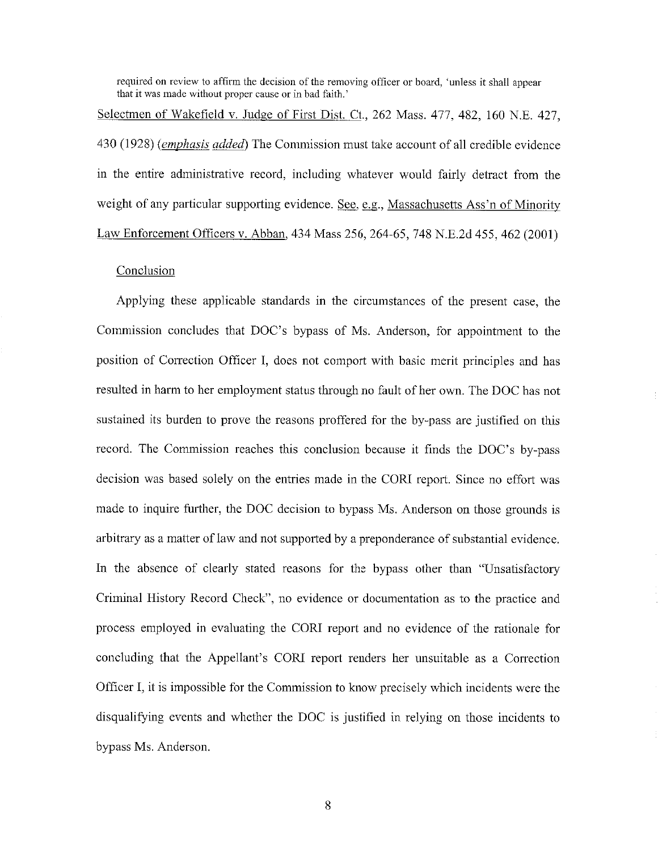**required on review to affirm the decision of the removing officer or board, 'unless it shall appear that it was made without proper cause or in bad faith.'** 

Selectmen of Wakefield v. Judge of First Dist. Ct., 262 Mass. 477, 482, 160 N.E. 427, 430 (1928) *(emphasis added)* The Commission must take account of all credible evidence in the entire administrative record, including whatever would fairly detract from the weight of any particular supporting evidence. See, e.g., Massachusetts Ass'n of Minority Law Enforcement Officers v. Abban, 434 Mass 256, 264-65, 748 N.E.2d 455, 462 (2001)

## **Conclusion**

Applying these applicable standards in the circumstances of the present case, the Commission concludes that DOC's bypass of Ms. Anderson, for appointment to the position of Correction Officer I, does not comport with basic merit principles and has resulted in harm to her employment status through no fault of her own. The DOC has not sustained its burden to prove the reasons proffered for the by-pass are justified on this record. The Commission reaches this conclusion because it finds the DOC's by-pass decision was based solely on the entries made in the CORI report. Since no effort was made to inquire further, the DOC decision to bypass Ms. Anderson on those grounds is arbitrary as a matter of law and not supported by a preponderance of substantial evidence. In the absence of clearly stated reasons for the bypass other than "Unsatisfactory Criminal History Record Check", no evidence or documentation as to the practice and process employed in evaluating the CORI report and no evidence of the rationale for concluding that the Appellant's CORI report renders her unsuitable as a Correction Officer I, it is impossible for the Commission to know precisely which incidents were the disqualifying events and whether the DOC is justified in relying on those incidents to bypass Ms. Anderson.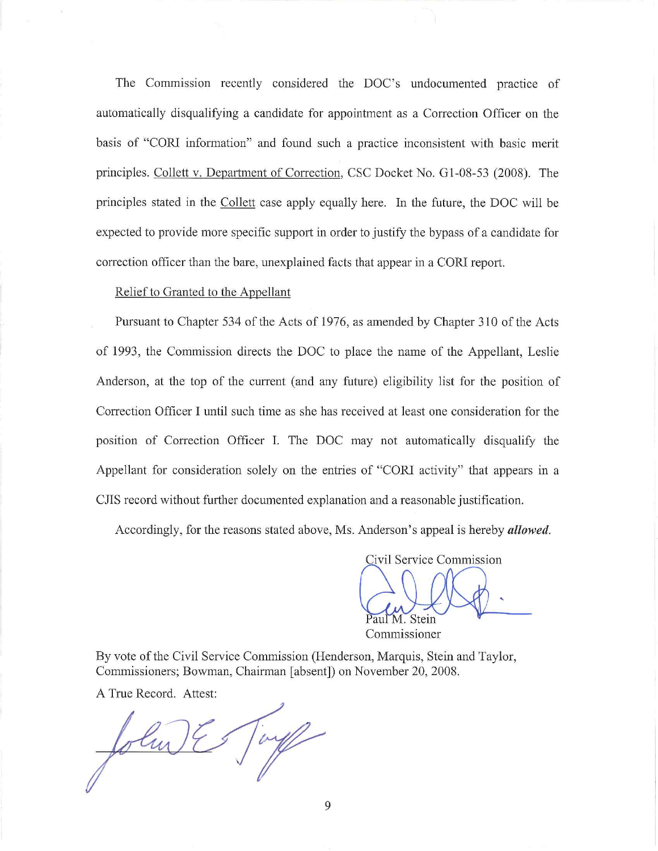The Commission recently considered the DOC's undocumented practice of automatically disqualifying a candidate for appointment as a Correction Officer on the basis of "CORI information" and found such a practice inconsistent with basic merit principles. Collett v. Department of Correction, CSC Docket No. Gl-08-53 (2008). The principles stated in the Collett case apply equally here. In the future, the DOC will be expected to provide more specific support in order to justify the bypass of a candidate for correction officer than the bare, unexplained facts that appear in a CORI report.

# Relief to Granted to the Appellant

Pursuant to Chapter 534 of the Acts of 1976, as amended by Chapter 310 of the Acts of 1993, the Commission directs the DOC to place the name of the Appellant, Leslie Anderson, at the top of the current (and any future) eligibility list for the position of Correction Officer I until such time as she has received at least one consideration for the position of Correction Officer I. The DOC may not automatically disqualify the Appellant for consideration solely on the entries of "CORI activity" that appears in a CITS record without further documented explanation and a reasonable justification.

Accordingly, for the reasons stated above, Ms. Anderson's appeal is hereby *allowed.* 

Civil Service Commission aul M. Stein

Commissioner

By vote of the Civil Service Commission (Henderson, Marquis, Stein and Taylor, Commissioners; Bowman, Chairman [absent]) on November 20, 2008.

A True Record. Attest:

Taylor John E